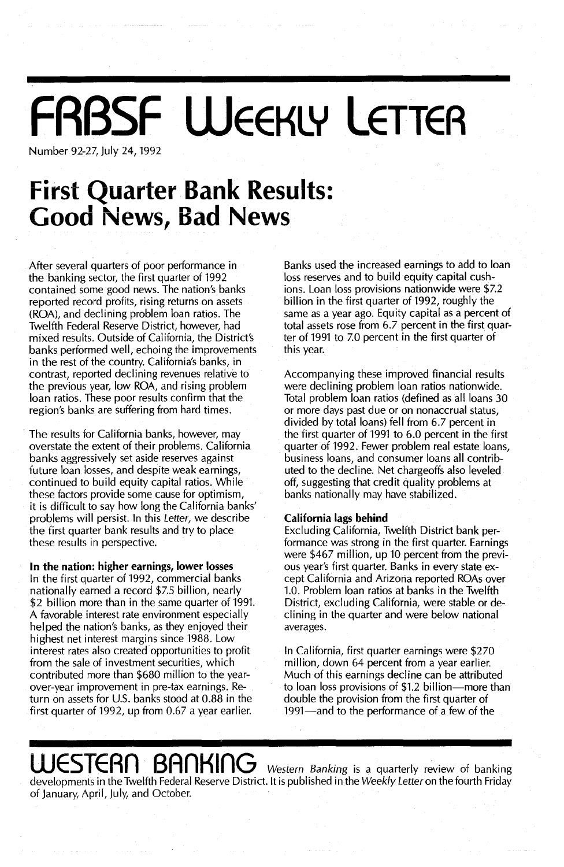## **FABSF WEEKLY LETTER**

Number 92-27, July 24, 1992

## **First Quarter Bank Results: Good News, Bad News**

After several quarters of poor performance in the banking sector, the first quarter of 1992 contained some good news. The nation's banks reported record profits, rising returns on assets (ROA), and declining problem loan ratios. The Twelfth Federal Reserve District, however, had mixed results. Outside of California, the District's banks performed well, echoing the improvements in the rest of the country. California's banks, in contrast, reported declining revenues relative to the previous year, low ROA, and rising problem loan ratios. These poor results confirm that the region's banks are suffering from hard times.

. The results for California banks, however, may overstate the extent of their problems. California banks aggressively set aside reserves against future loan losses, and despite weak earnings, continued to build equity capital ratios. While these factors provide some cause for optimism, it is difficult to say how long the California banks' problems will persist. In this Letter, we describe the first quarter bank results and try to place these results in perspective.

#### **In** the nation: higher earnings, lower losses

In the first quarter of 1992, commercial banks nationally earned a record \$7.5 billion, nearly \$2 billion more than in the same quarter of 1991 A favorable interest rate environment especially helped the nation's banks, as they enjoyed their highest net interest margins since 1988. Low interest rates also created opportunities to profit from the sale of investment securities, which contributed more than \$680 million to the yearover-year improvement in pre-tax earnings. Return on assets for U.S. banks stood at  $0.88$  in the first quarter of 1992, up from 0.67 a year earlier.

Banks used the increased earnings to add to loan loss reserves and to build equity capital cushions. Loan loss provisions nationwide were \$7.2 billion in the first quarter of 1992, roughly the same as a year ago. Equity capital as a percent of total assets rose from 6.7 percent in the first quarter of 1991 to 7.0 percent in the first quarter of this year.

Accompanying these improved financial results were declining problem loan ratios nationwide. Total problem loan ratios (defined as all loans 30 or more days past due or on nonaccrual status, divided by total loans) fell from 6.7 percent in the first quarter of 1991 to 6.0 percent in the first quarter of 1992. Fewer problem real estate loans, business loans, and consumer loans all contributed to the decline. Net chargeoffs also leveled off, suggesting that credit quality problems at banks nationally may have stabilized.

#### California lags behind

Excluding California, Twelfth District bank performance was strong in the first quarter. Earnings were \$467 million, up 10 percent from the previous year's first quarter. Banks in every state except California and Arizona reported ROAs over 10. Problem loan ratios at banks in the Twelfth District, excluding California, were stable or declining in the quarter and were below national averages.

In California, first quarter earnings were \$270 million, down 64 percent from a year earlier. Much of this earnings decline can be attributed to loan loss provisions of \$1.2 billion-more than double the provision from the first quarter of 1991—and to the performance of a few of the

## **WESTERN BANKING** Western Banking is a quarterly review of banking

developments in the Twelfth Federal Reserve District. It is published in the Weekly Letter on the fourth Friday of January, April, July, and October.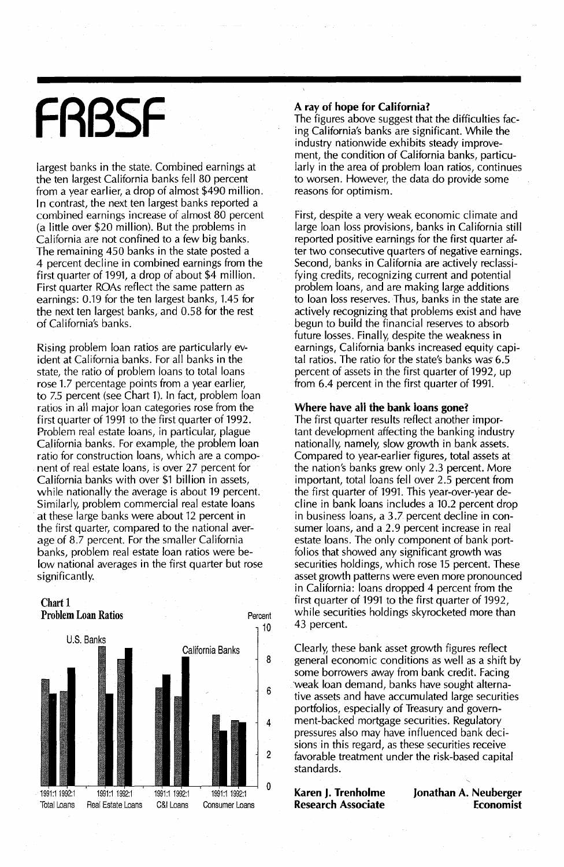# **FRBSF**

largest banks in the state. Combined earnings at the ten largest California banks fell 80 percent from a year earlier, a drop of almost \$490 million. In contrast, the next ten largest banks reported a cornbined earnings increase of almost 80 percent (a little over \$20 million). But the problems in California are not confined to a few big banks. The remaining 450 banks in the state posted a 4 percent decline in combined earnings from the first quarter of 1991, a drop of about \$4 million. First quarter ROAs reflect the same pattern as earnings: 0.19 for the ten largest banks, 1.45 for the next ten largest banks, and 0.58 for the rest of California's banks.

Rising problem loan ratios are particularly evident at California banks. For all banks in the state, the ratio of problem loans to total loans rose 1.7 percentage points from a year earlier, to 7.5 percent (see Chart 1). In fact, problem loan ratios in ail major loan categories rose from the first quarter of 1991 to the first quarter of 1992. Problem real estate loans, in particular, plague California banks. For example, the problem loan ratio for construction loans, which are a component of real estate loans, is over 27 percent for California banks with over \$1 billion in assets, while nationally the average is about 19 percent. Similarly, problem commercial real estate loans at these large banks were about 12 percent in the first quarter, compared to the national average of 8.7 percent. For the smaller California banks, problem real estate loan ratios were below national averages in the first quarter but rose significantly.



#### **A ray of hope for California?**

The figures above suggest that the difficulties facing California's banks are significant. While the industry nationwide exhibits steady improvement, the condition of California banks, particularly in the area of problem loan ratios, continues to worsen. However, the data do provide some reasons for optimism.

First, despite a very weak economic climate and large loan loss provisions, banks in California still reported positive earnings for the first quarter after two consecutive quarters of negative earnings. Second, banks in California are actively reclassifying credits, recognizing current and potential problem loans, and are making large additions to loan loss reserves. Thus, banks in the state are actively recognizing that problems exist and have begun to build the financial reserves to absorb future losses. Finally, despite the weakness in earnings, California banks increased equity capital ratios. The ratio for the state's banks was' 6.5 percent of assets in the first quarter of 1992, up from 6.4 percent in the first quarter of 1991.

#### **Where have aii the bank loans gone?**

The first quarter results reflect another important development affecting the banking industry nationally, namely, slow growth in bank assets. Compared to year-earlier figures, total assets at the nation's banks grew only 2.3 percent. More important, total loans fell over 2.5 percent from the first quarter of 1991. This year-over-year decline in bank loans includes a 10.2 percent drop in business loans, a 3.7 percent decline in consumer loans, and a 2.9 percent increase in real estate loans. The only component of bank portfolios that showed any significant growth was securities holdings, which rose 15 percent. These asset growth patterns were even more pronounced in California: loans dropped 4 percent from the first quarter of 1991 to the first quarter of 1992, while securities holdings skyrocketed more than 43 percent.

California Banks Clearly, these bank asset growth figures reflect general economic conditions as well as a shift by some borrowers away from bank credit. Facing weak loan demand, banks have sought alternative assets and have accumulated large securities portfolios, especially of Treasury and government-backed mortgage securities. Regulatory pressures also may have influenced bank decisions in this regard, as these securities receive favorable treatment under the risk-based capital standards.

> **Karen J. Trenholme Research Associate**

**Jonathan A. Neuberger Economist**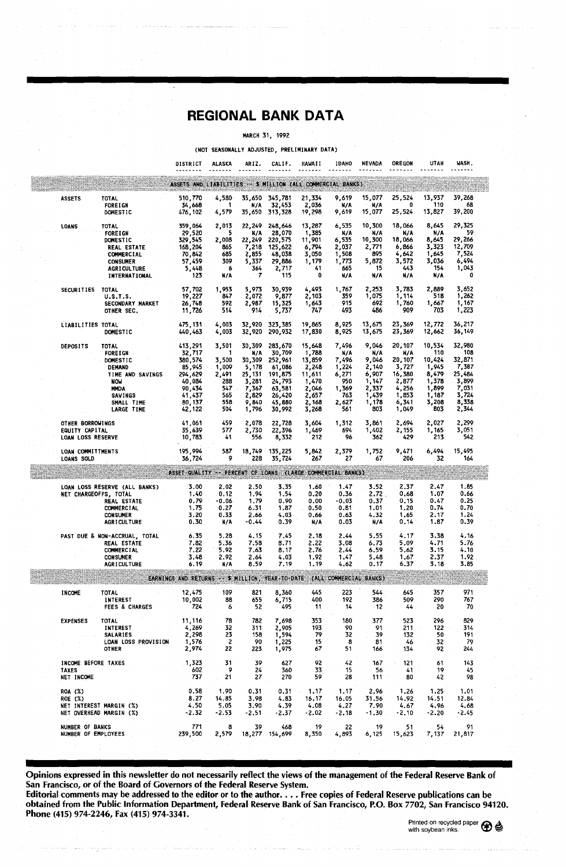### **REGIONAL BANK DATA**

#### MARCH 31, 1992

| (NOT SEASONALLY ADJUSTED, PRELIMINARY DATA)                                            |                                                                                    |                                                            |                                        |                                   |                                             |                                         |                                  |                                  |                                                 |                                  |                                    |
|----------------------------------------------------------------------------------------|------------------------------------------------------------------------------------|------------------------------------------------------------|----------------------------------------|-----------------------------------|---------------------------------------------|-----------------------------------------|----------------------------------|----------------------------------|-------------------------------------------------|----------------------------------|------------------------------------|
|                                                                                        |                                                                                    | DISTRICT                                                   | <b>ALASKA</b>                          | ARIZ.                             | CALIF.                                      | HAWAII                                  | IDAHO                            | <b>NEVADA</b>                    | OREGON                                          | UTAH                             | WASH.                              |
|                                                                                        |                                                                                    | ASSETS AND LIABILITIES -- 5 MILLION (ALL COMMERCIAL BANKS) |                                        |                                   |                                             |                                         |                                  |                                  |                                                 |                                  |                                    |
| <b>ASSETS</b>                                                                          | TOTAL<br><b>FORE I GN</b><br>DOMESTIC                                              | 510,770<br>34,668<br>476,102                               | 4,580<br>- 1<br>4,579                  | N/A<br>35,650                     | 35,650 345,781<br>32,453<br>313,328         | 21,334<br>2,036<br>19,298               | 9,619<br>N/A<br>9,619            | 15,077<br>∴ N/A<br>15,077        | 25,524<br>0<br>25,524                           | 13,937<br>- 110<br>13,827        | 39,268<br>68<br>39,200             |
| <b>LOANS</b>                                                                           | TOTAL<br><b>FOREIGN</b>                                                            | 359,064<br>29,520                                          | 2,013<br>$\sim$ 5.5 $\pm$              | 22,249<br>N/A                     | 248,646<br>28,070                           | 13,287<br>1,385                         | 6,535<br>N/A                     | 10,300<br>N/A                    | 18,066<br>N/A                                   | 8,645<br>N/A                     | 29,325<br>59                       |
|                                                                                        | <b>DOMESTIC</b><br><b>REAL ESTATE</b><br><b>COMMERCIAL</b><br><b>CONSUMER</b>      | 329,545<br>168,204<br>70,842<br>57,459                     | 2,008<br>865<br>685<br>309             | 22,249<br>7,218<br>2,855<br>5,337 | 220,575<br>125,622<br>48,038<br>29,886      | 11,901<br>6,794<br>3,050<br>1,179       | 6,535<br>2,037<br>1,508<br>1,773 | 10,300<br>2,771<br>895<br>5,872  | 18,066<br>6,866<br>4,642<br>3,572               | 8,645<br>3,323<br>1,645<br>3,036 | 29,266<br>12,709<br>7,524<br>6,494 |
|                                                                                        | <b>AGRICULTURE</b><br><b>INTERNATIONAL</b>                                         | 5,448<br>123                                               | - 6<br>N/A                             | 364<br>-7                         | 2,717<br>115                                | 41<br>0                                 | 665<br>N/A                       | -15<br>N/A                       | 443<br>N/A                                      | 154<br>N/A                       | 1,043<br>o                         |
| SECURITIES TOTAL                                                                       | <b>U.S.T.S.</b><br>SECONDARY MARKET<br>OTHER SEC.                                  | 57,702<br>19,227<br>26,748<br>11,726                       | 1,953<br>847<br>592<br>514             | 5,973<br>2,072<br>2,987<br>914    | 30,939<br>9,877<br>15,325<br>5,737          | 4,493<br>2,103<br>1,643<br>747          | 1,767<br>359<br>915<br>493       | 2.253<br>1,075<br>692<br>486     | 3,783<br>1,114<br>1,760<br>909                  | 2,889<br>518<br>1,667<br>703     | 3,652<br>1,262<br>1,167<br>1,223   |
| LIABILITIES TOTAL                                                                      | <b>DOMESTIC</b>                                                                    | 475, 131<br>440,463                                        | 4,003<br>4,003                         | 32,920<br>32,920                  | 323,385<br>290,932                          | 19,865<br>17,830                        | 8,925<br>8,925                   | 13,675<br>13,675                 | 23,369<br>23,369                                | 12,772<br>12,662                 | 36,217<br>36,149                   |
| DEPOSITS                                                                               | TOTAL<br><b>FORE LGN</b><br><b>DOMESTIC</b>                                        | 413,291<br>32,717<br>380,574                               | 3,501<br>- 1<br>3,500                  | 30,309<br>N/A<br>30,309           | 283,670<br>30,709<br>252,961                | 15,648<br>-1,788<br>13,859              | 7,496<br>N/A<br>7,496            | 9,046<br>N/A<br>9,046            | 20,107<br>N/A<br>20,107                         | 10,534<br>110<br>10,424          | 32,980<br>108<br>32,871            |
|                                                                                        | DEMAND<br>TIME AND SAVINGS<br><b>NOW</b><br><b>MMDA</b>                            | 85,945<br>294,629<br>40,084<br>90,434                      | 1,009<br>2,491<br>288<br>547           | 5,178<br>25,131<br>3,281<br>7,367 | 61,086<br>191,875<br>24,793<br>63,581       | 2,248<br>11,611<br>1,470<br>2,046       | 1,224<br>6,271<br>950<br>1,369   | 2,140<br>6,907<br>1,147<br>2,337 | 3,727<br>16,380<br>2,877<br>4,256               | 1,945<br>8,479<br>1,378<br>1,899 | 7,387<br>25,484<br>3,899<br>7,031  |
|                                                                                        | <b>SAVINGS</b><br>SMALL TIME<br>LARGE TIME                                         | 41,437<br>80, 137<br>42,122                                | 565<br>558<br>504                      | 2,829<br>9,840<br>1,796           | 26,420<br>45,880<br>30,992                  | 2,657<br>2,168<br>3,268                 | 763<br>2,627<br>561              | 1,439<br>1,178<br>803            | 1,853<br>6,341<br>1,049                         | 1,187<br>3,208<br>803            | 3,724<br>8,338<br>2,344            |
| OTHER BORROWINGS<br>EQUITY CAPITAL<br>LOAN LOSS RESERVE                                |                                                                                    | 41,061<br>35,639<br>10,783                                 | 459<br>577<br>41                       | 2,078<br>2,730<br>556             | 22,728<br>22,396<br>8,332                   | 3,604<br>1,469<br>212                   | 1,312<br>694<br>96               | 3,861<br>1,402<br>362            | 2,694<br>2,155<br>429                           | 2,027<br>1,165<br>213            | 2,299<br>3,051<br>542              |
| LOAN COMMITTMENTS<br>LOANS SOLD                                                        |                                                                                    | 195,994<br>36,724                                          | 587<br>- 9                             | 18,749<br>228                     | 135,225<br>35,724                           | 5,842<br>267                            | 2,379<br>27                      | 1,752<br>67                      | 9.471<br>206                                    | 6,494<br>32                      | 15,495<br>164                      |
|                                                                                        |                                                                                    | ASSET QUALITY -- PERCENT OF LOANS (LARGE COMMERCIAL BANKS) |                                        |                                   |                                             |                                         |                                  |                                  |                                                 |                                  |                                    |
| NET CHARGEOFFS, TOTAL                                                                  | LOAN LOSS RESERVE (ALL BANKS)<br>REAL ESTATE                                       | 3.00<br>1.40<br>0.79                                       | 2.02<br>0.12<br>$-0.06$                | 2.50<br>1.94<br>1.79              | 3.35<br>1.54<br>0.90                        | 1.60<br>0.20<br>0.00                    | 1.47<br>0.36<br>$-0.03$          | 3.52<br>2.72<br>0.37             | 2.37<br>0.68<br>0.15                            | 2.47<br>1.07<br>0.47             | 1.85<br>0.66<br>0.25               |
|                                                                                        | <b>COMMERCIAL</b><br><b>CONSUMER</b><br><b>AGRICULTURE</b>                         | 1.75<br>3.20<br>0.30                                       | 0.27<br>0.33<br>N/A                    | 6.31<br>2.66<br>-0.44             | 1.87<br>4.03<br>0.39                        | 0.50<br>0.66<br>N/A                     | 0.81<br>0.63<br>0.03             | 1.01<br>4.32<br>N/A              | 1.20<br>1.65<br>0.14                            | 0.74<br>2.17<br>1.87             | 0.70<br>1.24<br>0.39               |
|                                                                                        | PAST DUE & NON-ACCRUAL, TOTAL<br>REAL ESTATE<br>COMMERCIAL                         | 6.35<br>7.82<br>7.22                                       | 5.28<br>5.36<br>5.92                   | 4,15<br>7.58<br>7.63              | 7.45<br>8.71<br>8.17                        | 2.18<br>2.22<br>2.76                    | 2.44<br>3.08<br>2.44             | 5.55<br>6.73<br>6.59             | 4.17<br>5.09<br>5.62                            | 3.38<br>4.71<br>3.15             | 4.16<br>5.76<br>4.10               |
|                                                                                        | <b>CONSUMER</b><br><b>AGRICULTURE</b>                                              | 3.48<br>6.19                                               | 2.92<br>N/A                            | 2.64<br>8.59                      | 4.03<br>7.19                                | 1.92<br>1.19                            | 1.47<br>4.62                     | 5.48<br>0.17                     | 1.67<br>6.37                                    | 2.37<br>3.18                     | 1.92<br>3.85                       |
|                                                                                        |                                                                                    | EARNINGS AND RETURNS -- \$ MILLION, YEAR-TO-DATE           |                                        |                                   |                                             |                                         | (ALL COMMERCIAL BANKS)           |                                  |                                                 |                                  |                                    |
| <b>INCOME</b>                                                                          | <b>TOTAL</b><br><b>INTEREST</b><br><b>FEES &amp; CHARGES</b>                       | 12,475<br>10,002<br>724                                    | 109<br>88<br>6                         | 821<br>655<br>52                  | 8,360<br>6,715<br>495                       | 445<br>400<br>11                        | 223<br>192<br>14                 | 544<br>386<br>-12                | 645<br>509<br>44                                | 357<br>290<br>20                 | 971<br>767<br>70                   |
| <b>EXPENSES</b>                                                                        | <b>TOTAL</b><br><b>INTEREST</b><br>SALARIES<br>LOAN LOSS PROVISION<br><b>OTHER</b> | 11,116<br>4,269<br>2,298<br>1,576<br>2,974                 | 78<br>32<br>23<br>$\overline{z}$<br>22 | 782<br>311<br>158.<br>- 90<br>223 | 7,698<br>2,905<br>- 1,594<br>1,225<br>1,975 | 353<br>193<br>- 79<br>15<br>67          | 180<br>90<br>32<br>- 8<br>51.    | 377<br>91<br>- 59<br>-81<br>166  | 523<br>211<br>152<br>- 46<br>134                | 296<br>122<br>50<br>32<br>92     | 829<br>314<br>191<br>-79<br>244    |
| INCOME BEFORE TAXES<br><b>TAXES</b><br>NET INCOME                                      |                                                                                    | 1,323<br>602<br>737                                        | 31<br>-9<br>21                         | 39<br>- 24<br>- 27                | 627<br>360<br>270                           | 92<br>33<br>59                          | 42<br>15<br>28                   | 167<br>- 56<br>111               | $\sim$ 121<br>41<br>$\overline{\phantom{0}}$ 80 | -61<br>-19<br>42                 | 143<br>- 45<br>98                  |
| <b>ROA (%)</b><br><b>ROE (%)</b><br>NET INTEREST MARGIN (%)<br>NET OVERHEAD MARGIN (%) |                                                                                    | 0.58<br>8.27<br>4.50<br>$-2.32$                            | 1.90<br>14.85<br>5.05<br>$-2.53$       | 0.31<br>3.98<br>3.90<br>$-2.51$   | 4.83<br>4.39<br>$-2.37$                     | $0.31$ 1.17<br>16.17<br>4.08<br>$-2.02$ | 1.17<br>16.05<br>4.27<br>$-2.18$ | 2.96<br>31.56<br>7.90<br>$-1.30$ | 1.26<br>14.92<br>4.67<br>$-2.10$                | 1.25<br>14.51<br>4.96<br>$-2.20$ | 1.01<br>12.84<br>4.68<br>$-2.45$   |
| NUMBER OF BANKS                                                                        | NUMBER OF EMPLOYEES                                                                | 771<br>239,500                                             | - 8                                    | 39                                | 468<br>2,579 18,277 154,699                 | - 19<br>8,350                           | - 22<br>4,893                    | - 19                             | . 51<br>6,125 15,623                            | 54<br>7,137                      | - 91<br>21,817                     |

Opinions expressed in this newsletter do not necessarily reflect the views of the management of the Federal Reserve Bank of San Francisco, or of the Board of Governors of the Federal Reserve System.

Editorial comments may be addressed to the editor or to the author ... Free copies of Federal Reserve publications can be obtained from the Public Information Department, Federal Reserve Bank of San Francisco, P.O. Box 7702, San Francisco 94120. Phone (415) 974-2246, Fax (415) 974-3341.